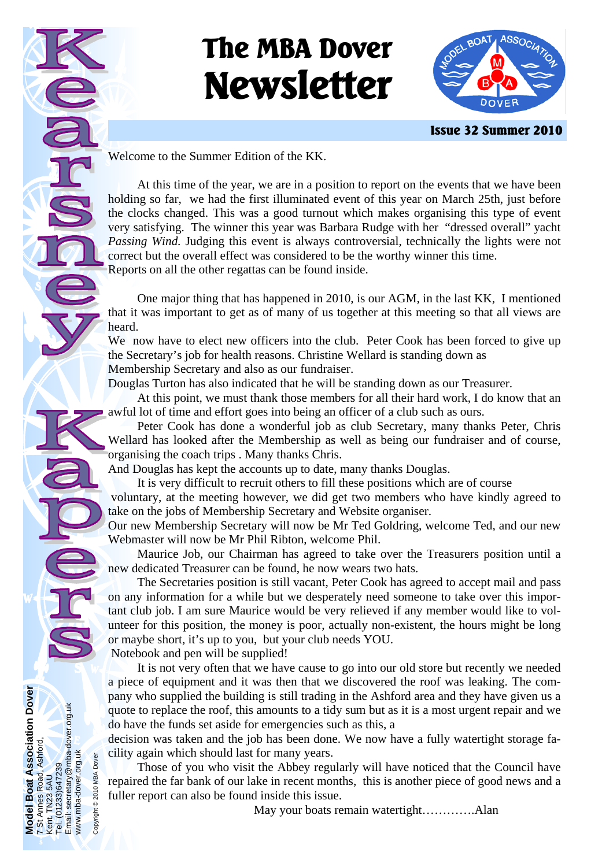# **The MBA Dover Newsletter**



 **Issue 32 Summer 2010** 

Welcome to the Summer Edition of the KK.

 At this time of the year, we are in a position to report on the events that we have been holding so far, we had the first illuminated event of this year on March 25th, just before the clocks changed. This was a good turnout which makes organising this type of event very satisfying. The winner this year was Barbara Rudge with her "dressed overall" yacht *Passing Wind.* Judging this event is always controversial, technically the lights were not correct but the overall effect was considered to be the worthy winner this time. Reports on all the other regattas can be found inside.

 One major thing that has happened in 2010, is our AGM, in the last KK, I mentioned that it was important to get as of many of us together at this meeting so that all views are heard.

We now have to elect new officers into the club. Peter Cook has been forced to give up the Secretary's job for health reasons. Christine Wellard is standing down as Membership Secretary and also as our fundraiser.

Douglas Turton has also indicated that he will be standing down as our Treasurer.

 At this point, we must thank those members for all their hard work, I do know that an awful lot of time and effort goes into being an officer of a club such as ours.

 Peter Cook has done a wonderful job as club Secretary, many thanks Peter, Chris Wellard has looked after the Membership as well as being our fundraiser and of course, organising the coach trips . Many thanks Chris.

And Douglas has kept the accounts up to date, many thanks Douglas.

It is very difficult to recruit others to fill these positions which are of course

 voluntary, at the meeting however, we did get two members who have kindly agreed to take on the jobs of Membership Secretary and Website organiser.

Our new Membership Secretary will now be Mr Ted Goldring, welcome Ted, and our new Webmaster will now be Mr Phil Ribton, welcome Phil.

 Maurice Job, our Chairman has agreed to take over the Treasurers position until a new dedicated Treasurer can be found, he now wears two hats.

 The Secretaries position is still vacant, Peter Cook has agreed to accept mail and pass on any information for a while but we desperately need someone to take over this important club job. I am sure Maurice would be very relieved if any member would like to volunteer for this position, the money is poor, actually non-existent, the hours might be long or maybe short, it's up to you, but your club needs YOU.

Notebook and pen will be supplied!

**Model Boat Association Dover** 

**Nodel Boat Association Dover** 

7 St Annes Road, Ashford,

7 St Annes Road, Ashford,

Kent. TN23 5AU Tel. (01233)647239 Email: secretary@mba-dover.org.uk

Kent. TN23 5AU<br>Tel. (01233)647239<br>Email: secretary@mba-dover.org.uk

www.mba-dover.org.uk Copyright © 2010 MBA Dover

www.mba-dover.org.uk Copyright @ 2010 MBA Dover

 It is not very often that we have cause to go into our old store but recently we needed a piece of equipment and it was then that we discovered the roof was leaking. The company who supplied the building is still trading in the Ashford area and they have given us a quote to replace the roof, this amounts to a tidy sum but as it is a most urgent repair and we do have the funds set aside for emergencies such as this, a

decision was taken and the job has been done. We now have a fully watertight storage facility again which should last for many years.

 Those of you who visit the Abbey regularly will have noticed that the Council have repaired the far bank of our lake in recent months, this is another piece of good news and a fuller report can also be found inside this issue.

May your boats remain watertight………….Alan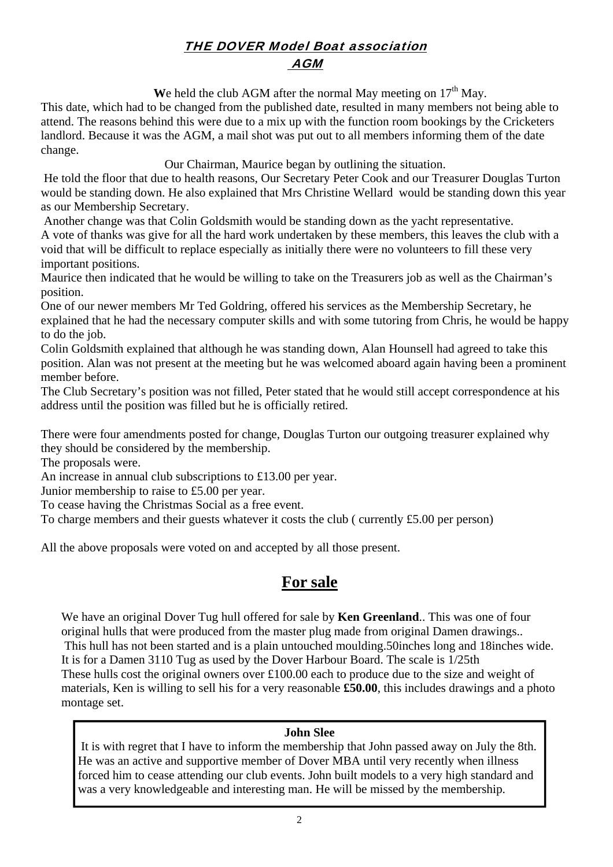# THE DOVER Model Boat association AGM

We held the club AGM after the normal May meeting on  $17<sup>th</sup>$  May.

This date, which had to be changed from the published date, resulted in many members not being able to attend. The reasons behind this were due to a mix up with the function room bookings by the Cricketers landlord. Because it was the AGM, a mail shot was put out to all members informing them of the date change.

Our Chairman, Maurice began by outlining the situation.

 He told the floor that due to health reasons, Our Secretary Peter Cook and our Treasurer Douglas Turton would be standing down. He also explained that Mrs Christine Wellard would be standing down this year as our Membership Secretary.

 Another change was that Colin Goldsmith would be standing down as the yacht representative. A vote of thanks was give for all the hard work undertaken by these members, this leaves the club with a void that will be difficult to replace especially as initially there were no volunteers to fill these very important positions.

Maurice then indicated that he would be willing to take on the Treasurers job as well as the Chairman's position.

One of our newer members Mr Ted Goldring, offered his services as the Membership Secretary, he explained that he had the necessary computer skills and with some tutoring from Chris, he would be happy to do the job.

Colin Goldsmith explained that although he was standing down, Alan Hounsell had agreed to take this position. Alan was not present at the meeting but he was welcomed aboard again having been a prominent member before.

The Club Secretary's position was not filled, Peter stated that he would still accept correspondence at his address until the position was filled but he is officially retired.

There were four amendments posted for change, Douglas Turton our outgoing treasurer explained why they should be considered by the membership.

The proposals were.

An increase in annual club subscriptions to £13.00 per year.

Junior membership to raise to £5.00 per year.

To cease having the Christmas Social as a free event.

To charge members and their guests whatever it costs the club ( currently £5.00 per person)

All the above proposals were voted on and accepted by all those present.

## **For sale**

We have an original Dover Tug hull offered for sale by **Ken Greenland**.. This was one of four original hulls that were produced from the master plug made from original Damen drawings.. This hull has not been started and is a plain untouched moulding.50inches long and 18inches wide. It is for a Damen 3110 Tug as used by the Dover Harbour Board. The scale is 1/25th These hulls cost the original owners over £100.00 each to produce due to the size and weight of materials, Ken is willing to sell his for a very reasonable **£50.00**, this includes drawings and a photo montage set.

### **John Slee**

 It is with regret that I have to inform the membership that John passed away on July the 8th. He was an active and supportive member of Dover MBA until very recently when illness forced him to cease attending our club events. John built models to a very high standard and was a very knowledgeable and interesting man. He will be missed by the membership.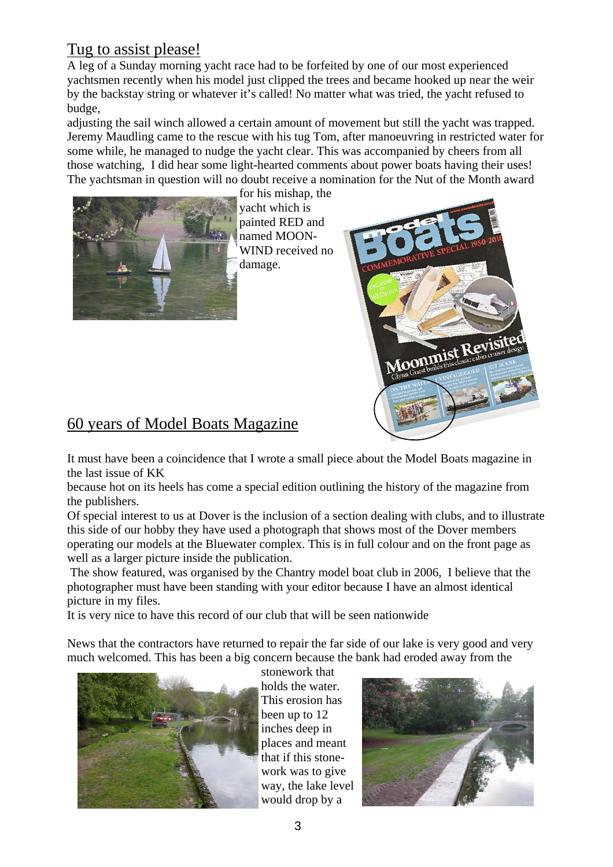# Tug to assist please!

A leg of a Sunday morning yacht race had to be forfeited by one of our most experienced yachtsmen recently when his model just clipped the trees and became hooked up near the weir by the backstay string or whatever it's called! No matter what was tried, the yacht refused to budge,

adjusting the sail winch allowed a certain amount of movement but still the yacht was trapped. Jeremy Maudling came to the rescue with his tug Tom, after manoeuvring in restricted water for some while, he managed to nudge the yacht clear. This was accompanied by cheers from all those watching, I did hear some light-hearted comments about power boats having their uses! The yachtsman in question will no doubt receive a nomination for the Nut of the Month award



for his mishap, the yacht which is painted RED and named MOON-WIND received no damage.



# 60 years of Model Boats Magazine

It must have been a coincidence that I wrote a small piece about the Model Boats magazine in the last issue of KK

because hot on its heels has come a special edition outlining the history of the magazine from the publishers.

Of special interest to us at Dover is the inclusion of a section dealing with clubs, and to illustrate this side of our hobby they have used a photograph that shows most of the Dover members operating our models at the Bluewater complex. This is in full colour and on the front page as well as a larger picture inside the publication.

 The show featured, was organised by the Chantry model boat club in 2006, I believe that the photographer must have been standing with your editor because I have an almost identical picture in my files.

It is very nice to have this record of our club that will be seen nationwide

News that the contractors have returned to repair the far side of our lake is very good and very much welcomed. This has been a big concern because the bank had eroded away from the



stonework that holds the water. This erosion has been up to 12 inches deep in places and meant that if this stonework was to give way, the lake level would drop by a

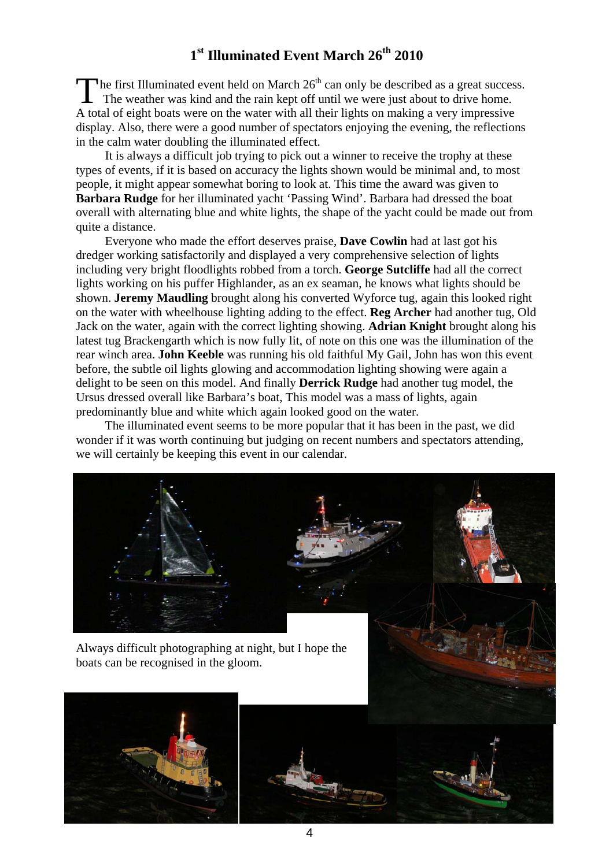# **1st Illuminated Event March 26th 2010**

The first Illuminated event held on March  $26<sup>th</sup>$  can only be described as a great success.<br>The weather was kind and the min limit of the contract of the contract of the state of the state of the state of the state of The weather was kind and the rain kept off until we were just about to drive home. A total of eight boats were on the water with all their lights on making a very impressive display. Also, there were a good number of spectators enjoying the evening, the reflections in the calm water doubling the illuminated effect.

 It is always a difficult job trying to pick out a winner to receive the trophy at these types of events, if it is based on accuracy the lights shown would be minimal and, to most people, it might appear somewhat boring to look at. This time the award was given to **Barbara Rudge** for her illuminated yacht 'Passing Wind'. Barbara had dressed the boat overall with alternating blue and white lights, the shape of the yacht could be made out from quite a distance.

 Everyone who made the effort deserves praise, **Dave Cowlin** had at last got his dredger working satisfactorily and displayed a very comprehensive selection of lights including very bright floodlights robbed from a torch. **George Sutcliffe** had all the correct lights working on his puffer Highlander, as an ex seaman, he knows what lights should be shown. **Jeremy Maudling** brought along his converted Wyforce tug, again this looked right on the water with wheelhouse lighting adding to the effect. **Reg Archer** had another tug, Old Jack on the water, again with the correct lighting showing. **Adrian Knight** brought along his latest tug Brackengarth which is now fully lit, of note on this one was the illumination of the rear winch area. **John Keeble** was running his old faithful My Gail, John has won this event before, the subtle oil lights glowing and accommodation lighting showing were again a delight to be seen on this model. And finally **Derrick Rudge** had another tug model, the Ursus dressed overall like Barbara's boat, This model was a mass of lights, again predominantly blue and white which again looked good on the water.

 The illuminated event seems to be more popular that it has been in the past, we did wonder if it was worth continuing but judging on recent numbers and spectators attending, we will certainly be keeping this event in our calendar.

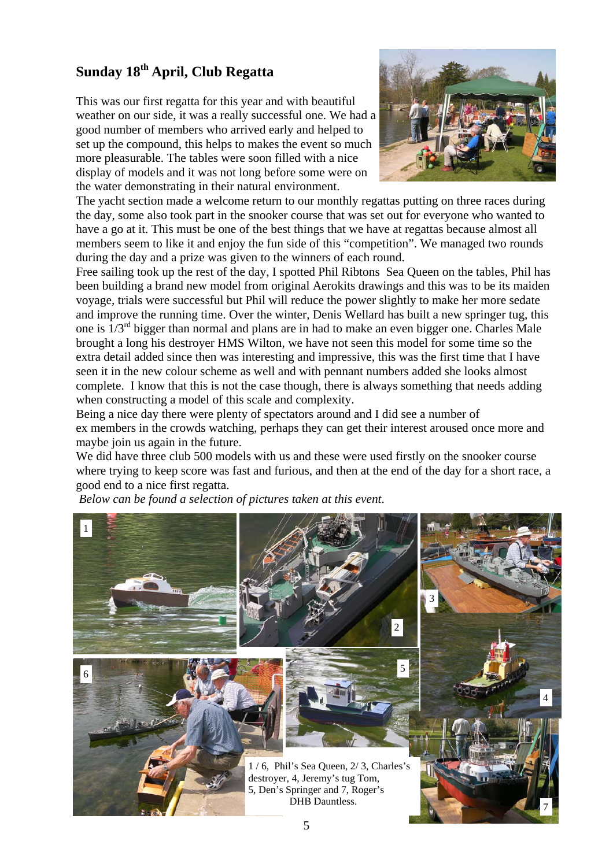# **Sunday 18th April, Club Regatta**

This was our first regatta for this year and with beautiful weather on our side, it was a really successful one. We had a good number of members who arrived early and helped to set up the compound, this helps to makes the event so much more pleasurable. The tables were soon filled with a nice display of models and it was not long before some were on the water demonstrating in their natural environment.



The yacht section made a welcome return to our monthly regattas putting on three races during the day, some also took part in the snooker course that was set out for everyone who wanted to have a go at it. This must be one of the best things that we have at regattas because almost all members seem to like it and enjoy the fun side of this "competition". We managed two rounds during the day and a prize was given to the winners of each round.

Free sailing took up the rest of the day, I spotted Phil Ribtons Sea Queen on the tables, Phil has been building a brand new model from original Aerokits drawings and this was to be its maiden voyage, trials were successful but Phil will reduce the power slightly to make her more sedate and improve the running time. Over the winter, Denis Wellard has built a new springer tug, this one is  $1/3^{rd}$  bigger than normal and plans are in had to make an even bigger one. Charles Male brought a long his destroyer HMS Wilton, we have not seen this model for some time so the extra detail added since then was interesting and impressive, this was the first time that I have seen it in the new colour scheme as well and with pennant numbers added she looks almost complete. I know that this is not the case though, there is always something that needs adding when constructing a model of this scale and complexity.

Being a nice day there were plenty of spectators around and I did see a number of ex members in the crowds watching, perhaps they can get their interest aroused once more and maybe join us again in the future.

We did have three club 500 models with us and these were used firstly on the snooker course where trying to keep score was fast and furious, and then at the end of the day for a short race, a good end to a nice first regatta.

*Below can be found a selection of pictures taken at this event*.

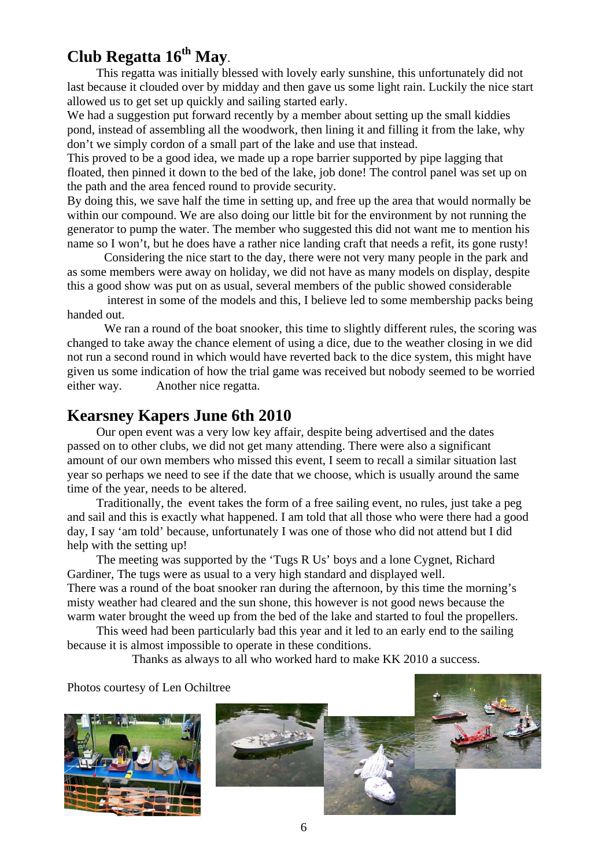# **Club Regatta 16th May**.

 This regatta was initially blessed with lovely early sunshine, this unfortunately did not last because it clouded over by midday and then gave us some light rain. Luckily the nice start allowed us to get set up quickly and sailing started early.

We had a suggestion put forward recently by a member about setting up the small kiddies pond, instead of assembling all the woodwork, then lining it and filling it from the lake, why don't we simply cordon of a small part of the lake and use that instead.

This proved to be a good idea, we made up a rope barrier supported by pipe lagging that floated, then pinned it down to the bed of the lake, job done! The control panel was set up on the path and the area fenced round to provide security.

By doing this, we save half the time in setting up, and free up the area that would normally be within our compound. We are also doing our little bit for the environment by not running the generator to pump the water. The member who suggested this did not want me to mention his name so I won't, but he does have a rather nice landing craft that needs a refit, its gone rusty!

Considering the nice start to the day, there were not very many people in the park and as some members were away on holiday, we did not have as many models on display, despite this a good show was put on as usual, several members of the public showed considerable

 interest in some of the models and this, I believe led to some membership packs being handed out.

We ran a round of the boat snooker, this time to slightly different rules, the scoring was changed to take away the chance element of using a dice, due to the weather closing in we did not run a second round in which would have reverted back to the dice system, this might have given us some indication of how the trial game was received but nobody seemed to be worried either way. Another nice regatta.

# **Kearsney Kapers June 6th 2010**

Our open event was a very low key affair, despite being advertised and the dates passed on to other clubs, we did not get many attending. There were also a significant amount of our own members who missed this event, I seem to recall a similar situation last year so perhaps we need to see if the date that we choose, which is usually around the same time of the year, needs to be altered.

 Traditionally, the event takes the form of a free sailing event, no rules, just take a peg and sail and this is exactly what happened. I am told that all those who were there had a good day, I say 'am told' because, unfortunately I was one of those who did not attend but I did help with the setting up!

 The meeting was supported by the 'Tugs R Us' boys and a lone Cygnet, Richard Gardiner, The tugs were as usual to a very high standard and displayed well. There was a round of the boat snooker ran during the afternoon, by this time the morning's misty weather had cleared and the sun shone, this however is not good news because the warm water brought the weed up from the bed of the lake and started to foul the propellers.

 This weed had been particularly bad this year and it led to an early end to the sailing because it is almost impossible to operate in these conditions.

Thanks as always to all who worked hard to make KK 2010 a success.

Photos courtesy of Len Ochiltree

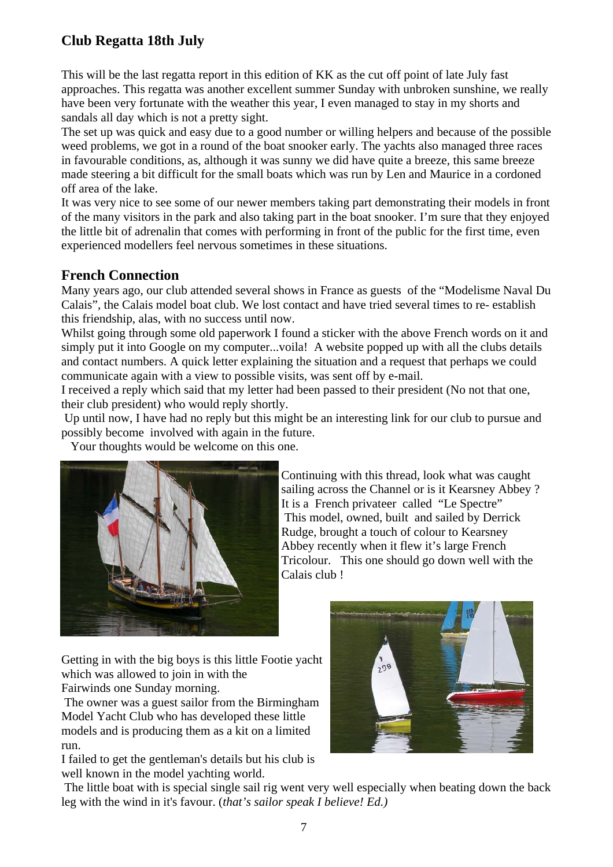# **Club Regatta 18th July**

This will be the last regatta report in this edition of KK as the cut off point of late July fast approaches. This regatta was another excellent summer Sunday with unbroken sunshine, we really have been very fortunate with the weather this year, I even managed to stay in my shorts and sandals all day which is not a pretty sight.

The set up was quick and easy due to a good number or willing helpers and because of the possible weed problems, we got in a round of the boat snooker early. The yachts also managed three races in favourable conditions, as, although it was sunny we did have quite a breeze, this same breeze made steering a bit difficult for the small boats which was run by Len and Maurice in a cordoned off area of the lake.

It was very nice to see some of our newer members taking part demonstrating their models in front of the many visitors in the park and also taking part in the boat snooker. I'm sure that they enjoyed the little bit of adrenalin that comes with performing in front of the public for the first time, even experienced modellers feel nervous sometimes in these situations.

## **French Connection**

Many years ago, our club attended several shows in France as guests of the "Modelisme Naval Du Calais", the Calais model boat club. We lost contact and have tried several times to re- establish this friendship, alas, with no success until now.

Whilst going through some old paperwork I found a sticker with the above French words on it and simply put it into Google on my computer...voila! A website popped up with all the clubs details and contact numbers. A quick letter explaining the situation and a request that perhaps we could communicate again with a view to possible visits, was sent off by e-mail.

I received a reply which said that my letter had been passed to their president (No not that one, their club president) who would reply shortly.

 Up until now, I have had no reply but this might be an interesting link for our club to pursue and possibly become involved with again in the future.

Your thoughts would be welcome on this one.



Continuing with this thread, look what was caught sailing across the Channel or is it Kearsney Abbey ? It is a French privateer called "Le Spectre" This model, owned, built and sailed by Derrick Rudge, brought a touch of colour to Kearsney Abbey recently when it flew it's large French Tricolour. This one should go down well with the Calais club !

Getting in with the big boys is this little Footie yacht which was allowed to join in with the Fairwinds one Sunday morning.

 The owner was a guest sailor from the Birmingham Model Yacht Club who has developed these little models and is producing them as a kit on a limited run.

I failed to get the gentleman's details but his club is well known in the model yachting world.



 The little boat with is special single sail rig went very well especially when beating down the back leg with the wind in it's favour. (*that's sailor speak I believe! Ed.)*